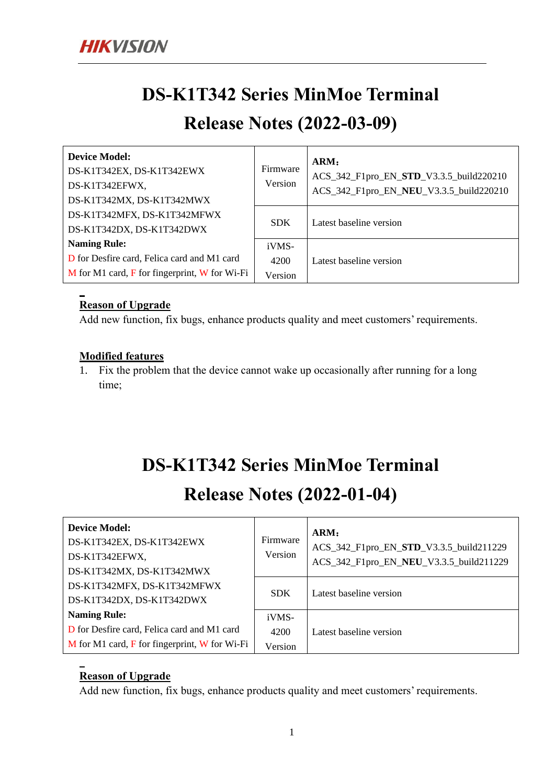# **DS-K1T342 Series MinMoe Terminal**

### **Release Notes (2022-03-09)**

| <b>Device Model:</b><br>DS-K1T342EX, DS-K1T342EWX<br>DS-K1T342EFWX,<br>DS-K1T342MX, DS-K1T342MWX | Firmware<br>Version | ARM:<br>ACS_342_F1pro_EN_STD_V3.3.5_build220210<br>ACS_342_F1pro_EN_NEU_V3.3.5_build220210 |
|--------------------------------------------------------------------------------------------------|---------------------|--------------------------------------------------------------------------------------------|
| DS-K1T342MFX, DS-K1T342MFWX<br>DS-K1T342DX, DS-K1T342DWX                                         | <b>SDK</b>          | Latest baseline version                                                                    |
| <b>Naming Rule:</b>                                                                              | iVMS-               |                                                                                            |
| D for Desfire card, Felica card and M1 card                                                      | 4200                | Latest baseline version                                                                    |
| $M$ for M1 card, $F$ for fingerprint, $W$ for Wi-Fi                                              | Version             |                                                                                            |

#### **Reason of Upgrade**

Add new function, fix bugs, enhance products quality and meet customers' requirements.

#### **Modified features**

1. Fix the problem that the device cannot wake up occasionally after running for a long time;

# **DS-K1T342 Series MinMoe Terminal**

## **Release Notes (2022-01-04)**

| <b>Device Model:</b><br>DS-K1T342EX, DS-K1T342EWX<br>DS-K1T342EFWX,<br>DS-K1T342MX, DS-K1T342MWX | Firmware<br>Version | ARM:<br>ACS_342_F1pro_EN_STD_V3.3.5_build211229<br>ACS_342_F1pro_EN_NEU_V3.3.5_build211229 |
|--------------------------------------------------------------------------------------------------|---------------------|--------------------------------------------------------------------------------------------|
| DS-K1T342MFX, DS-K1T342MFWX<br>DS-K1T342DX, DS-K1T342DWX                                         | <b>SDK</b>          | Latest baseline version                                                                    |
| <b>Naming Rule:</b>                                                                              | iVMS-               |                                                                                            |
| D for Desfire card, Felica card and M1 card                                                      | 4200                | Latest baseline version                                                                    |
| $M$ for M1 card, $F$ for fingerprint, W for Wi-Fi                                                | Version             |                                                                                            |

#### **Reason of Upgrade**

Add new function, fix bugs, enhance products quality and meet customers' requirements.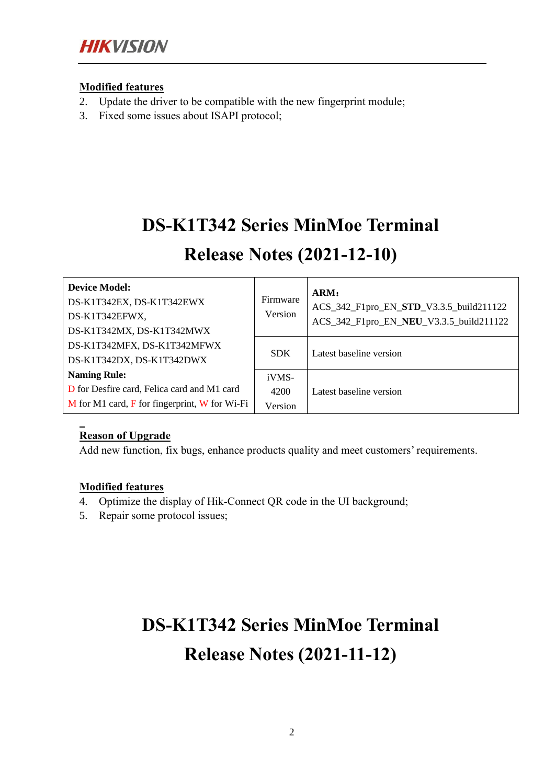#### **Modified features**

- 2. Update the driver to be compatible with the new fingerprint module;
- 3. Fixed some issues about ISAPI protocol;

# **DS-K1T342 Series MinMoe Terminal**

### **Release Notes (2021-12-10)**

| <b>Device Model:</b><br>DS-K1T342EX, DS-K1T342EWX<br>DS-K1T342EFWX,<br>DS-K1T342MX, DS-K1T342MWX | Firmware<br>Version | ARM:<br>ACS_342_F1pro_EN_STD_V3.3.5_build211122<br>ACS_342_F1pro_EN_NEU_V3.3.5_build211122 |
|--------------------------------------------------------------------------------------------------|---------------------|--------------------------------------------------------------------------------------------|
| DS-K1T342MFX, DS-K1T342MFWX<br>DS-K1T342DX, DS-K1T342DWX                                         | <b>SDK</b>          | Latest baseline version                                                                    |
| <b>Naming Rule:</b>                                                                              | iVMS-               |                                                                                            |
| D for Desfire card, Felica card and M1 card                                                      | 4200                | Latest baseline version                                                                    |
| $M$ for M1 card, $F$ for fingerprint, W for Wi-Fi                                                | Version             |                                                                                            |

#### **Reason of Upgrade**

Add new function, fix bugs, enhance products quality and meet customers' requirements.

#### **Modified features**

- 4. Optimize the display of Hik-Connect QR code in the UI background;
- 5. Repair some protocol issues;

# **DS-K1T342 Series MinMoe Terminal Release Notes (2021-11-12)**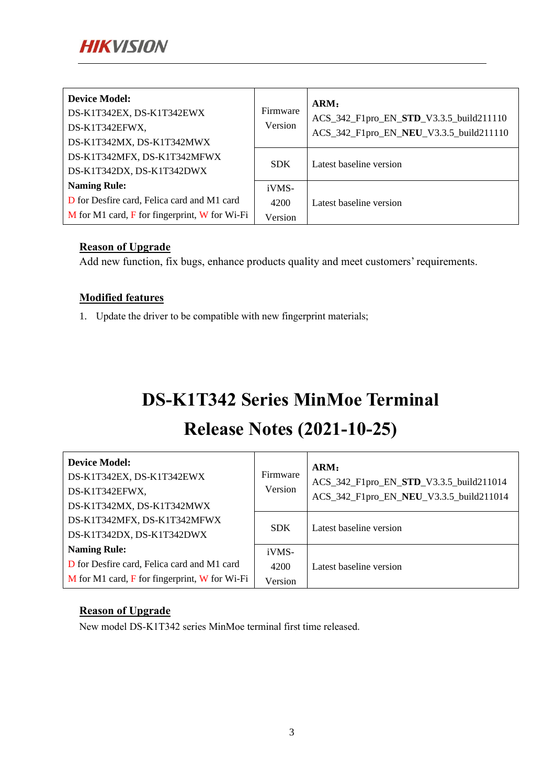| <b>Device Model:</b><br>DS-K1T342EX, DS-K1T342EWX<br>DS-K1T342EFWX,<br>DS-K1T342MX, DS-K1T342MWX | Firmware<br>Version | ARM:<br>ACS_342_F1pro_EN_STD_V3.3.5_build211110<br>ACS_342_F1pro_EN_NEU_V3.3.5_build211110 |
|--------------------------------------------------------------------------------------------------|---------------------|--------------------------------------------------------------------------------------------|
| DS-K1T342MFX, DS-K1T342MFWX<br>DS-K1T342DX, DS-K1T342DWX                                         | <b>SDK</b>          | Latest baseline version                                                                    |
| <b>Naming Rule:</b>                                                                              | iVMS-               |                                                                                            |
| D for Desfire card, Felica card and M1 card                                                      | 4200                | Latest baseline version                                                                    |
| $M$ for M1 card, $F$ for fingerprint, W for Wi-Fi                                                | Version             |                                                                                            |

#### **Reason of Upgrade**

Add new function, fix bugs, enhance products quality and meet customers' requirements.

#### **Modified features**

1. Update the driver to be compatible with new fingerprint materials;

# **DS-K1T342 Series MinMoe Terminal**

## **Release Notes (2021-10-25)**

| <b>Device Model:</b><br>DS-K1T342EX, DS-K1T342EWX<br>DS-K1T342EFWX,<br>DS-K1T342MX, DS-K1T342MWX | Firmware<br>Version | ARM:<br>ACS_342_F1pro_EN_STD_V3.3.5_build211014<br>ACS_342_F1pro_EN_NEU_V3.3.5_build211014 |
|--------------------------------------------------------------------------------------------------|---------------------|--------------------------------------------------------------------------------------------|
| DS-K1T342MFX, DS-K1T342MFWX<br>DS-K1T342DX, DS-K1T342DWX                                         | <b>SDK</b>          | Latest baseline version                                                                    |
| <b>Naming Rule:</b>                                                                              | iVMS-               |                                                                                            |
| D for Desfire card, Felica card and M1 card                                                      | 4200                | Latest baseline version                                                                    |
| $M$ for M1 card, $F$ for fingerprint, W for Wi-Fi                                                | Version             |                                                                                            |

#### **Reason of Upgrade**

New model DS-K1T342 series MinMoe terminal first time released.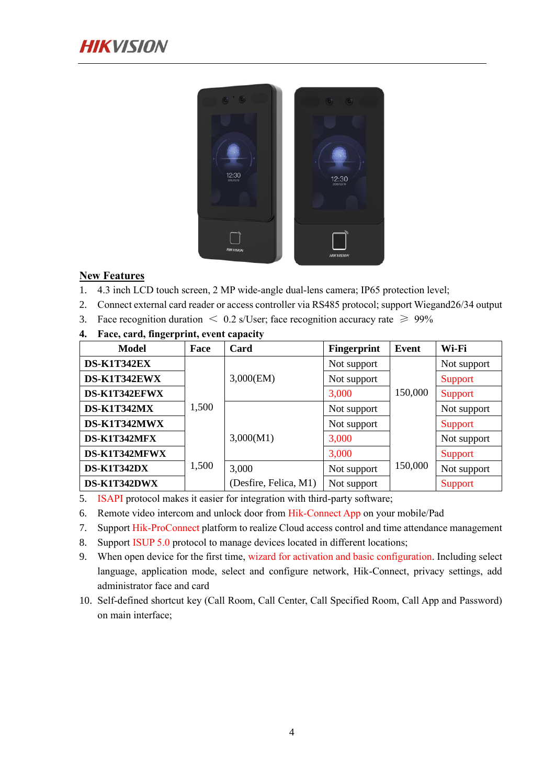

#### **New Features**

- 1. 4.3 inch LCD touch screen, 2 MP wide-angle dual-lens camera; IP65 protection level;
- 2. Connect external card reader or access controller via RS485 protocol; support Wiegand26/34 output
- 3. Face recognition duration  $\langle 0.2 \text{ s/User} \rangle$ ; face recognition accuracy rate  $\geq 99\%$
- **4. Face, card, fingerprint, event capacity**

| Model         | Face  | Card                  | <b>Fingerprint</b> | Event   | Wi-Fi          |
|---------------|-------|-----------------------|--------------------|---------|----------------|
| DS-K1T342EX   |       |                       | Not support        |         | Not support    |
| DS-K1T342EWX  |       | 3,000(EM)             | Not support        |         | Support        |
| DS-K1T342EFWX |       |                       | 3,000              | 150,000 | <b>Support</b> |
| DS-K1T342MX   | 1,500 |                       | Not support        |         | Not support    |
| DS-K1T342MWX  |       |                       | Not support        |         | Support        |
| DS-K1T342MFX  |       | 3,000(M1)             | 3,000              |         | Not support    |
| DS-K1T342MFWX |       |                       | 3,000              |         | Support        |
| DS-K1T342DX   | 1,500 | 3,000                 | Not support        | 150,000 | Not support    |
| DS-K1T342DWX  |       | (Desfire, Felica, M1) | Not support        |         | <b>Support</b> |

5. ISAPI protocol makes it easier for integration with third-party software;

6. Remote video intercom and unlock door from Hik-Connect App on your mobile/Pad

- 7. Support Hik-ProConnect platform to realize Cloud access control and time attendance management
- 8. Support ISUP 5.0 protocol to manage devices located in different locations;
- 9. When open device for the first time, wizard for activation and basic configuration. Including select language, application mode, select and configure network, Hik-Connect, privacy settings, add administrator face and card
- 10. Self-defined shortcut key (Call Room, Call Center, Call Specified Room, Call App and Password) on main interface;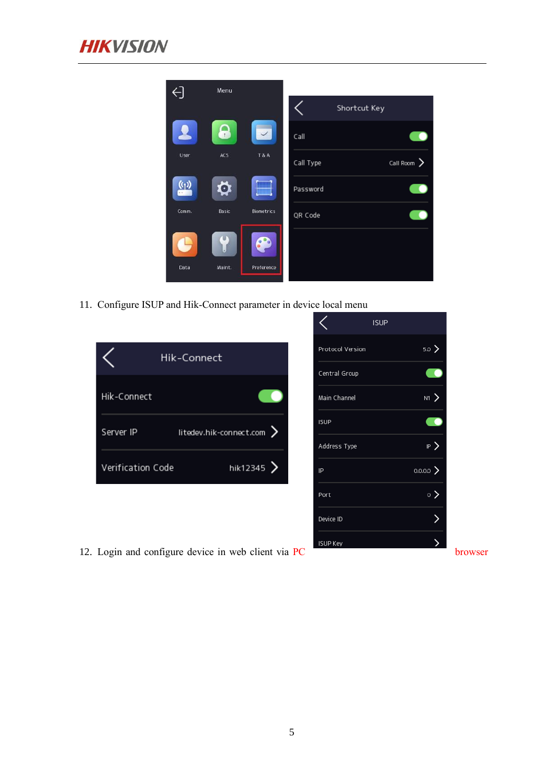

| ⊖                | Menu   |                   |           |              |                  |
|------------------|--------|-------------------|-----------|--------------|------------------|
|                  |        |                   |           | Shortcut Key |                  |
| $\blacktriangle$ | o      |                   | Call      |              |                  |
| User             | ACS    | <b>T&amp;A</b>    | Call Type |              | Call Room $\sum$ |
| $\sf(\Omega)$    | O      |                   | Password  |              |                  |
| Comm.            | Basic  | <b>Biometrics</b> | QR Code   |              |                  |
|                  | Ū      |                   |           |              |                  |
| Data             | Maint. | Preference        |           |              |                  |

 $\langle$ 

**ISUP** 

rsion

up

 $5.0$   $\geq$ 

 $\overline{\phantom{a}}$ 

 $\frac{1}{2}$ 

₹

 $\mathbb{R}$ )

 $\circ$   $>$ 

 $\,$ 

 $0.0.0.0$ 

11. Configure ISUP and Hik-Connect parameter in device local menu

| Hik-Connect<br>Hik-Connect<br>litedev.hik-connect.com ><br>Server IP<br>hik12345 $\geq$<br>Verification Code |  |
|--------------------------------------------------------------------------------------------------------------|--|
|                                                                                                              |  |
|                                                                                                              |  |
|                                                                                                              |  |
|                                                                                                              |  |
|                                                                                                              |  |

- 
- 12. Login and configure device in web client via  $PC$  browser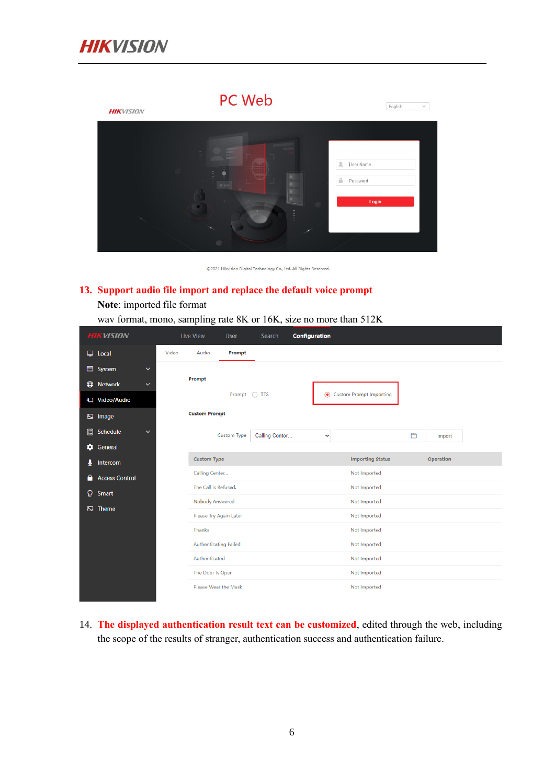

# PC Web  $\boxed{\text{English} \qquad \qquad \lor \qquad }$ **HIK**VISION User Name Password

©2021 Hikvision Digital Technology Co., Ltd. All Rights Reserved.

#### **13. Support audio file import and replace the default voice prompt**

**Note**: imported file format

wav format, mono, sampling rate 8K or 16K, size no more than 512K

| <b>HIKVISION</b>           |              |       | Live View              | User               | Search         | <b>Configuration</b> |              |                                |   |           |  |
|----------------------------|--------------|-------|------------------------|--------------------|----------------|----------------------|--------------|--------------------------------|---|-----------|--|
| $\Box$ Local               |              | Video | Audio                  | Prompt             |                |                      |              |                                |   |           |  |
| System                     | $\checkmark$ |       |                        |                    |                |                      |              |                                |   |           |  |
| <b>ED</b> Network          | $\checkmark$ |       | Prompt                 |                    |                |                      |              |                                |   |           |  |
| <b>について Video/Audio</b>    |              |       |                        | Prompt ○ TTS       |                |                      | $\odot$      | <b>Custom Prompt Importing</b> |   |           |  |
| <b>E</b> Image             |              |       | <b>Custom Prompt</b>   |                    |                |                      |              |                                |   |           |  |
| 值<br>Schedule              | $\checkmark$ |       |                        | <b>Custom Type</b> | Calling Center |                      | $\checkmark$ |                                | Ò | Import    |  |
| ۰<br>General               |              |       |                        |                    |                |                      |              |                                |   |           |  |
| Q.<br>Intercom             |              |       | <b>Custom Type</b>     |                    |                |                      |              | <b>Importing Status</b>        |   | Operation |  |
| <b>Access Control</b><br>Α |              |       | Calling Center         |                    |                |                      |              | Not Imported                   |   |           |  |
| Ω<br>Smart                 |              |       | The Call Is Refused.   |                    |                |                      |              | Not Imported                   |   |           |  |
|                            |              |       | Nobody Answered        |                    |                |                      |              | Not Imported                   |   |           |  |
| 囚<br>Theme                 |              |       | Please Try Again Later |                    |                |                      |              | Not Imported                   |   |           |  |
|                            |              |       | <b>Thanks</b>          |                    |                |                      |              | Not Imported                   |   |           |  |
|                            |              |       | Authenticating Failed  |                    |                |                      |              | Not Imported                   |   |           |  |
|                            |              |       | Authenticated          |                    |                |                      |              | Not Imported                   |   |           |  |
|                            |              |       | The Door Is Open       |                    |                |                      |              | Not Imported                   |   |           |  |
|                            |              |       | Please Wear the Mask   |                    |                |                      |              | Not Imported                   |   |           |  |
|                            |              |       |                        |                    |                |                      |              |                                |   |           |  |

14. **The displayed authentication result text can be customized**, edited through the web, including the scope of the results of stranger, authentication success and authentication failure.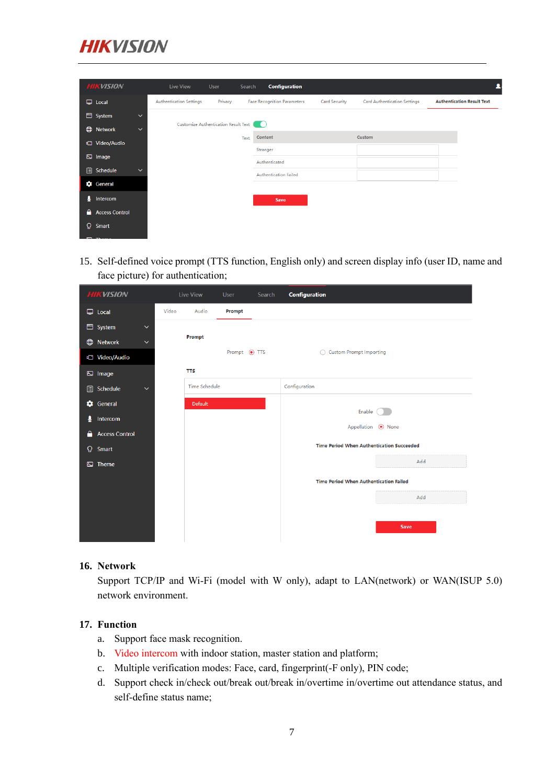

| <b>HIKVISION</b>              |              | Live View                            | User    | Search | <b>Configuration</b>               |                      |                                     |                                   |
|-------------------------------|--------------|--------------------------------------|---------|--------|------------------------------------|----------------------|-------------------------------------|-----------------------------------|
| $\Box$ Local                  |              | <b>Authentication Settings</b>       | Privacy |        | <b>Face Recognition Parameters</b> | <b>Card Security</b> | <b>Card Authentication Settings</b> | <b>Authentication Result Text</b> |
| System                        | $\checkmark$ |                                      |         |        |                                    |                      |                                     |                                   |
| $\bigoplus$<br><b>Network</b> | $\checkmark$ | Customize Authentication Result Text |         |        | n Ch                               |                      |                                     |                                   |
| t <sup>1</sup> Video/Audio    |              |                                      |         | Text   | Content                            |                      | Custom                              |                                   |
|                               |              |                                      |         |        | Stranger                           |                      |                                     |                                   |
| $\boxdot$ Image               |              |                                      |         |        | Authenticated                      |                      |                                     |                                   |
| 值<br>Schedule                 | $\checkmark$ |                                      |         |        | <b>Authentication Failed</b>       |                      |                                     |                                   |
| General                       |              |                                      |         |        |                                    |                      |                                     |                                   |
| ₹<br>Intercom                 |              |                                      |         |        | Save                               |                      |                                     |                                   |
| Α<br><b>Access Control</b>    |              |                                      |         |        |                                    |                      |                                     |                                   |
| Q.<br>Smart                   |              |                                      |         |        |                                    |                      |                                     |                                   |
| <b>COLLECTION</b>             |              |                                      |         |        |                                    |                      |                                     |                                   |

15. Self-defined voice prompt (TTS function, English only) and screen display info (user ID, name and face picture) for authentication;

| <b>HIKVISION</b>                       |       | <b>Live View</b>     | User           | Search | <b>Configuration</b>                             |      |
|----------------------------------------|-------|----------------------|----------------|--------|--------------------------------------------------|------|
| $\Box$ Local                           | Video | Audio                | Prompt         |        |                                                  |      |
| <b>■ System</b><br>$\checkmark$        |       |                      |                |        |                                                  |      |
| $\bigoplus$<br>Network<br>$\checkmark$ |       | Prompt               |                |        |                                                  |      |
| t <sup>1</sup> Video/Audio             |       |                      | Prompt (a) TTS |        | ◯ Custom Prompt Importing                        |      |
| Ŋ<br>Image                             |       | <b>TTS</b>           |                |        |                                                  |      |
| 值<br>Schedule<br>$\checkmark$          |       | <b>Time Schedule</b> |                |        | Configuration                                    |      |
| ۰<br>General                           |       | Default              |                |        | Enable                                           |      |
| J<br>Intercom                          |       |                      |                |        | Appellation ( None                               |      |
| Α<br><b>Access Control</b>             |       |                      |                |        |                                                  |      |
| Q<br>Smart                             |       |                      |                |        | <b>Time Period When Authentication Succeeded</b> |      |
| Theme<br>囚                             |       |                      |                |        |                                                  | Add  |
|                                        |       |                      |                |        | <b>Time Period When Authentication Failed</b>    |      |
|                                        |       |                      |                |        |                                                  | Add  |
|                                        |       |                      |                |        |                                                  |      |
|                                        |       |                      |                |        |                                                  | Save |
|                                        |       |                      |                |        |                                                  |      |

#### **16. Network**

Support TCP/IP and Wi-Fi (model with W only), adapt to LAN(network) or WAN(ISUP 5.0) network environment.

#### **17. Function**

- a. Support face mask recognition.
- b. Video intercom with indoor station, master station and platform;
- c. Multiple verification modes: Face, card, fingerprint(-F only), PIN code;
- d. Support check in/check out/break out/break in/overtime in/overtime out attendance status, and self-define status name;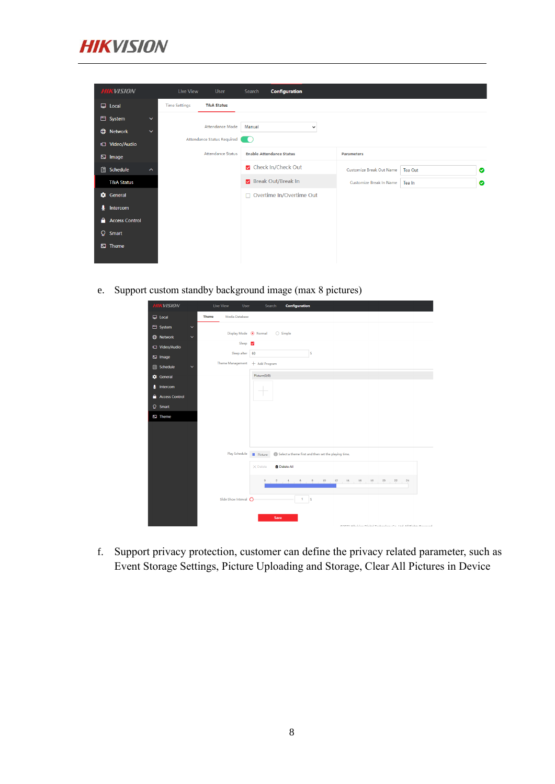

| <b>HIKVISION</b>      |                     | Live View            | User                       | Search | Configuration                   |              |                          |         |   |
|-----------------------|---------------------|----------------------|----------------------------|--------|---------------------------------|--------------|--------------------------|---------|---|
| $\Box$ Local          |                     | <b>Time Settings</b> | <b>T&amp;A Status</b>      |        |                                 |              |                          |         |   |
| <b>■</b> System       | $\checkmark$        |                      |                            |        |                                 |              |                          |         |   |
| <b>ED</b> Network     | $\checkmark$        |                      | Attendance Mode            | Manual |                                 | $\checkmark$ |                          |         |   |
| <b>に Video/Audio</b>  |                     |                      | Attendance Status Required |        |                                 |              |                          |         |   |
| <b>E</b> Image        |                     |                      | <b>Attendance Status</b>   |        | <b>Enable Attendance Status</b> |              | <b>Parameters</b>        |         |   |
| <b>自</b> Schedule     | $\hat{\phantom{a}}$ |                      |                            |        | Check In/Check Out              |              | Customize Break Out Name | Tea Out | ◙ |
| <b>T&amp;A Status</b> |                     |                      |                            |        | Break Out/Break In              |              | Customize Break In Name  | Tea In  | ◉ |
| General               |                     |                      |                            |        | $\Box$ Overtime In/Overtime Out |              |                          |         |   |
| ∙<br>Intercom         |                     |                      |                            |        |                                 |              |                          |         |   |
| <b>Access Control</b> |                     |                      |                            |        |                                 |              |                          |         |   |
| $\Omega$ Smart        |                     |                      |                            |        |                                 |              |                          |         |   |
| $\boxdot$ Theme       |                     |                      |                            |        |                                 |              |                          |         |   |
|                       |                     |                      |                            |        |                                 |              |                          |         |   |

e. Support custom standby background image (max 8 pictures)

| <b>HIKVISION</b>                 | Configuration<br><b>Live View</b><br>User<br>Search                                                                                                                                                                                                                                                                                                                                                                                                                                                                                                         |
|----------------------------------|-------------------------------------------------------------------------------------------------------------------------------------------------------------------------------------------------------------------------------------------------------------------------------------------------------------------------------------------------------------------------------------------------------------------------------------------------------------------------------------------------------------------------------------------------------------|
| $\Box$ Local                     | Media Database<br><b>Theme</b>                                                                                                                                                                                                                                                                                                                                                                                                                                                                                                                              |
| System<br>$\checkmark$           |                                                                                                                                                                                                                                                                                                                                                                                                                                                                                                                                                             |
| <b>C</b> Network<br>$\checkmark$ | Display Mode <sup>O</sup> Normal<br>$\bigcirc$ Simple                                                                                                                                                                                                                                                                                                                                                                                                                                                                                                       |
| C Video/Audio                    | Sleep<br>$\overline{\mathbf{v}}$                                                                                                                                                                                                                                                                                                                                                                                                                                                                                                                            |
| $\square$ Image                  | Sleep after<br>60<br>s                                                                                                                                                                                                                                                                                                                                                                                                                                                                                                                                      |
| Schedule<br>自<br>$\checkmark$    | Theme Management<br>+ Add Program                                                                                                                                                                                                                                                                                                                                                                                                                                                                                                                           |
| General                          | Picture(0/8)                                                                                                                                                                                                                                                                                                                                                                                                                                                                                                                                                |
| Intercom<br>ą                    |                                                                                                                                                                                                                                                                                                                                                                                                                                                                                                                                                             |
| <b>Access Control</b><br>۵       |                                                                                                                                                                                                                                                                                                                                                                                                                                                                                                                                                             |
| <b>Q</b> Smart                   |                                                                                                                                                                                                                                                                                                                                                                                                                                                                                                                                                             |
| $\overline{\mathbf{S}}$ Theme    |                                                                                                                                                                                                                                                                                                                                                                                                                                                                                                                                                             |
|                                  |                                                                                                                                                                                                                                                                                                                                                                                                                                                                                                                                                             |
|                                  |                                                                                                                                                                                                                                                                                                                                                                                                                                                                                                                                                             |
|                                  | Play Schedule<br>Select a theme first and then set the playing time.<br>Picture                                                                                                                                                                                                                                                                                                                                                                                                                                                                             |
|                                  | <b>Delete All</b><br>$\times$ Delete                                                                                                                                                                                                                                                                                                                                                                                                                                                                                                                        |
|                                  | $\mathbf{0}$<br>$\mathfrak{L}% _{A}^{\prime}=\mathfrak{L}_{A}\!\left( \mathfrak{L}_{A}\right) ^{A}\!\left( \mathfrak{L}_{A}\right) ^{A}\!\left( \mathfrak{L}_{A}\right) ^{A}\!\left( \mathfrak{L}_{A}\right) ^{A}\!\left( \mathfrak{L}_{A}\right) ^{A}\!\left( \mathfrak{L}_{A}\right) ^{A}\!\left( \mathfrak{L}_{A}\right) ^{A}\!\left( \mathfrak{L}_{A}\right) ^{A}\!\left( \mathfrak{L}_{A}\right) ^{A}\!\left( \mathfrak{L}_{A}\right) ^{A}\!\left( \mathfrak{L}_{A}\right) ^{$<br>$^{\rm 8}$<br>24<br>6<br>10<br>12<br>14<br>16<br>18<br>20<br>22<br>4 |
|                                  | Slide Show Interval O<br>1<br>$\vert$ s                                                                                                                                                                                                                                                                                                                                                                                                                                                                                                                     |
|                                  | Save<br>@2021 Bibliota Diaital Tachaghan: Ca. 16d All Diabte Dacanad                                                                                                                                                                                                                                                                                                                                                                                                                                                                                        |

f. Support privacy protection, customer can define the privacy related parameter, such as Event Storage Settings, Picture Uploading and Storage, Clear All Pictures in Device